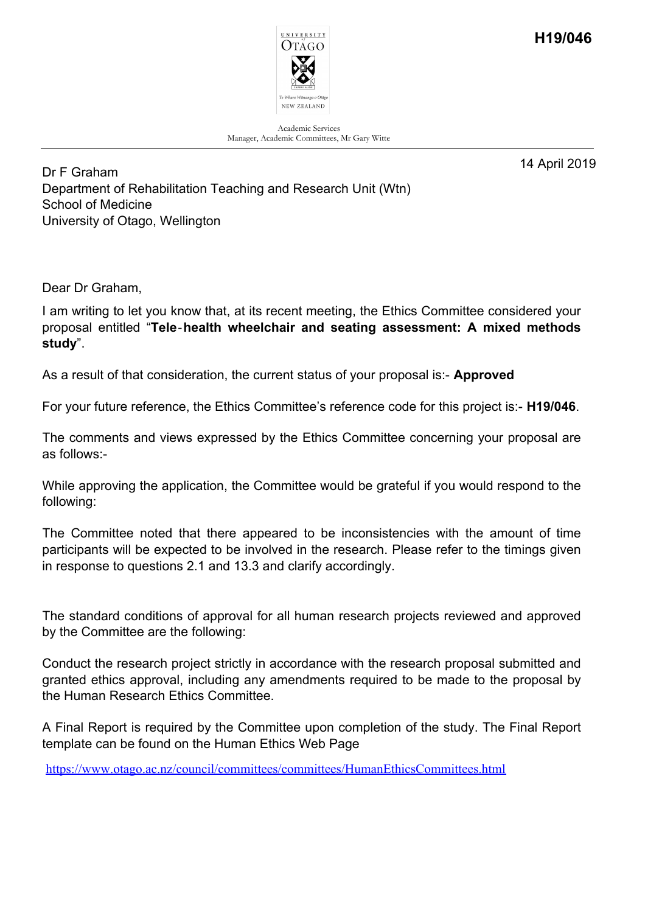

Academic Services Manager, Academic Committees, Mr Gary Witte

14 April 2019

Dr F Graham Department of Rehabilitation Teaching and Research Unit (Wtn) School of Medicine University of Otago, Wellington

Dear Dr Graham,

I am writing to let you know that, at its recent meeting, the Ethics Committee considered your proposal entitled "**Tele**‐**health wheelchair and seating assessment: A mixed methods study**".

As a result of that consideration, the current status of your proposal is:- **Approved**

For your future reference, the Ethics Committee's reference code for this project is:- **H19/046**.

The comments and views expressed by the Ethics Committee concerning your proposal are as follows:-

While approving the application, the Committee would be grateful if you would respond to the following:

The Committee noted that there appeared to be inconsistencies with the amount of time participants will be expected to be involved in the research. Please refer to the timings given in response to questions 2.1 and 13.3 and clarify accordingly.

The standard conditions of approval for all human research projects reviewed and approved by the Committee are the following:

Conduct the research project strictly in accordance with the research proposal submitted and granted ethics approval, including any amendments required to be made to the proposal by the Human Research Ethics Committee.

A Final Report is required by the Committee upon completion of the study. The Final Report template can be found on the Human Ethics Web Page

https://www.otago.ac.nz/council/committees/committees/HumanEthicsCommittees.html